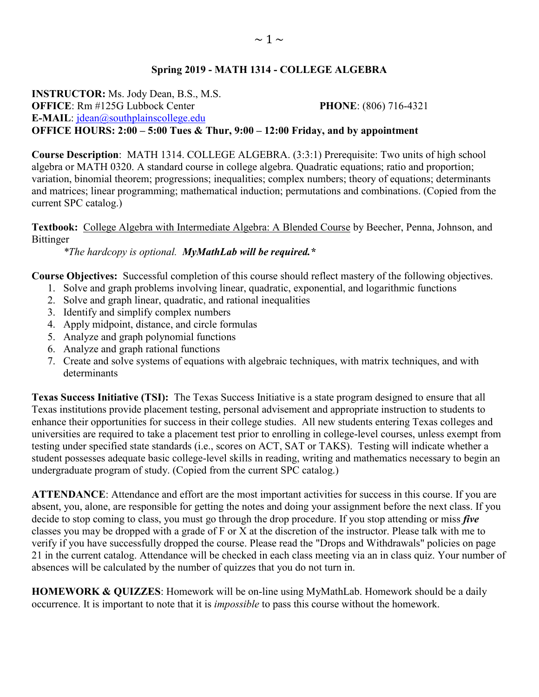### **Spring 2019 - MATH 1314 - COLLEGE ALGEBRA**

**INSTRUCTOR:** Ms. Jody Dean, B.S., M.S. **OFFICE**: Rm #125G Lubbock Center **PHONE**: (806) 716-4321 **E-MAIL**: [jdean@southplainscollege.edu](mailto:jdean@southplainscollege.edu)  **OFFICE HOURS: 2:00 – 5:00 Tues & Thur, 9:00 – 12:00 Friday, and by appointment**

**Course Description**: MATH 1314. COLLEGE ALGEBRA. (3:3:1) Prerequisite: Two units of high school algebra or MATH 0320. A standard course in college algebra. Quadratic equations; ratio and proportion; variation, binomial theorem; progressions; inequalities; complex numbers; theory of equations; determinants and matrices; linear programming; mathematical induction; permutations and combinations. (Copied from the current SPC catalog.)

**Textbook:** College Algebra with Intermediate Algebra: A Blended Course by Beecher, Penna, Johnson, and Bittinger

*\*The hardcopy is optional. MyMathLab will be required.\**

**Course Objectives:** Successful completion of this course should reflect mastery of the following objectives.

- 1. Solve and graph problems involving linear, quadratic, exponential, and logarithmic functions
- 2. Solve and graph linear, quadratic, and rational inequalities
- 3. Identify and simplify complex numbers
- 4. Apply midpoint, distance, and circle formulas
- 5. Analyze and graph polynomial functions
- 6. Analyze and graph rational functions
- 7. Create and solve systems of equations with algebraic techniques, with matrix techniques, and with determinants

**Texas Success Initiative (TSI):** The Texas Success Initiative is a state program designed to ensure that all Texas institutions provide placement testing, personal advisement and appropriate instruction to students to enhance their opportunities for success in their college studies. All new students entering Texas colleges and universities are required to take a placement test prior to enrolling in college-level courses, unless exempt from testing under specified state standards (i.e., scores on ACT, SAT or TAKS). Testing will indicate whether a student possesses adequate basic college-level skills in reading, writing and mathematics necessary to begin an undergraduate program of study. (Copied from the current SPC catalog.)

**ATTENDANCE**: Attendance and effort are the most important activities for success in this course. If you are absent, you, alone, are responsible for getting the notes and doing your assignment before the next class. If you decide to stop coming to class, you must go through the drop procedure. If you stop attending or miss *five* classes you may be dropped with a grade of F or X at the discretion of the instructor. Please talk with me to verify if you have successfully dropped the course. Please read the "Drops and Withdrawals" policies on page 21 in the current catalog. Attendance will be checked in each class meeting via an in class quiz. Your number of absences will be calculated by the number of quizzes that you do not turn in.

**HOMEWORK & QUIZZES**: Homework will be on-line using MyMathLab. Homework should be a daily occurrence. It is important to note that it is *impossible* to pass this course without the homework.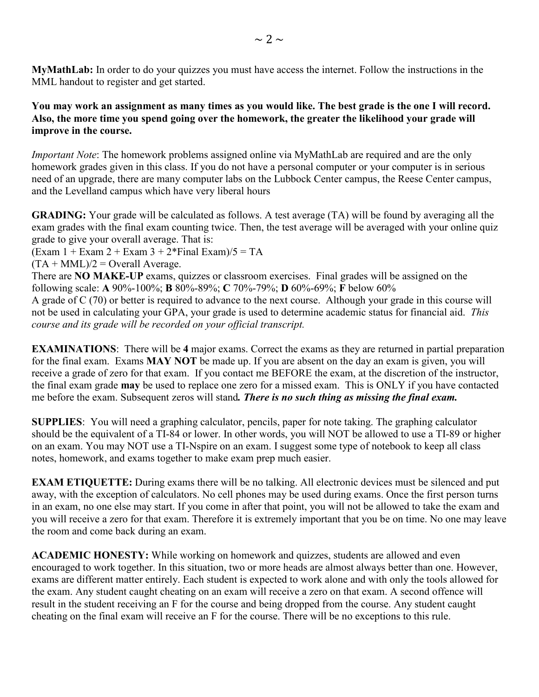**MyMathLab:** In order to do your quizzes you must have access the internet. Follow the instructions in the MML handout to register and get started.

**You may work an assignment as many times as you would like. The best grade is the one I will record. Also, the more time you spend going over the homework, the greater the likelihood your grade will improve in the course.**

*Important Note*: The homework problems assigned online via MyMathLab are required and are the only homework grades given in this class. If you do not have a personal computer or your computer is in serious need of an upgrade, there are many computer labs on the Lubbock Center campus, the Reese Center campus, and the Levelland campus which have very liberal hours

**GRADING:** Your grade will be calculated as follows. A test average (TA) will be found by averaging all the exam grades with the final exam counting twice. Then, the test average will be averaged with your online quiz grade to give your overall average. That is:

 $(Exam 1 + Exam 2 + Exam 3 + 2*Final Exam)/5 = TA$ 

 $(TA + MML)/2 =$  Overall Average.

There are **NO MAKE-UP** exams, quizzes or classroom exercises. Final grades will be assigned on the following scale: **A** 90%-100%; **B** 80%-89%; **C** 70%-79%; **D** 60%-69%; **F** below 60%

A grade of C (70) or better is required to advance to the next course. Although your grade in this course will not be used in calculating your GPA, your grade is used to determine academic status for financial aid. *This course and its grade will be recorded on your official transcript.*

**EXAMINATIONS**: There will be **4** major exams. Correct the exams as they are returned in partial preparation for the final exam. Exams **MAY NOT** be made up. If you are absent on the day an exam is given, you will receive a grade of zero for that exam. If you contact me BEFORE the exam, at the discretion of the instructor, the final exam grade **may** be used to replace one zero for a missed exam. This is ONLY if you have contacted me before the exam. Subsequent zeros will stand*. There is no such thing as missing the final exam.*

**SUPPLIES**: You will need a graphing calculator, pencils, paper for note taking. The graphing calculator should be the equivalent of a TI-84 or lower. In other words, you will NOT be allowed to use a TI-89 or higher on an exam. You may NOT use a TI-Nspire on an exam. I suggest some type of notebook to keep all class notes, homework, and exams together to make exam prep much easier.

**EXAM ETIQUETTE:** During exams there will be no talking. All electronic devices must be silenced and put away, with the exception of calculators. No cell phones may be used during exams. Once the first person turns in an exam, no one else may start. If you come in after that point, you will not be allowed to take the exam and you will receive a zero for that exam. Therefore it is extremely important that you be on time. No one may leave the room and come back during an exam.

**ACADEMIC HONESTY:** While working on homework and quizzes, students are allowed and even encouraged to work together. In this situation, two or more heads are almost always better than one. However, exams are different matter entirely. Each student is expected to work alone and with only the tools allowed for the exam. Any student caught cheating on an exam will receive a zero on that exam. A second offence will result in the student receiving an F for the course and being dropped from the course. Any student caught cheating on the final exam will receive an F for the course. There will be no exceptions to this rule.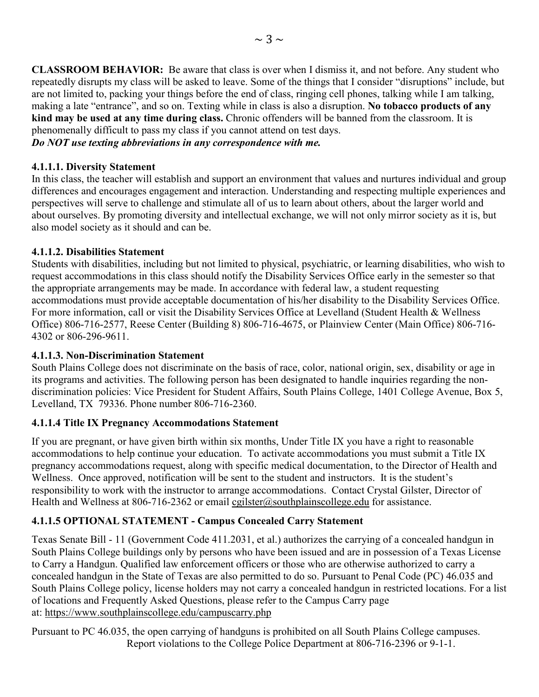**CLASSROOM BEHAVIOR:** Be aware that class is over when I dismiss it, and not before. Any student who repeatedly disrupts my class will be asked to leave. Some of the things that I consider "disruptions" include, but are not limited to, packing your things before the end of class, ringing cell phones, talking while I am talking, making a late "entrance", and so on. Texting while in class is also a disruption. **No tobacco products of any kind may be used at any time during class.** Chronic offenders will be banned from the classroom. It is phenomenally difficult to pass my class if you cannot attend on test days.

*Do NOT use texting abbreviations in any correspondence with me.*

#### **4.1.1.1. Diversity Statement**

In this class, the teacher will establish and support an environment that values and nurtures individual and group differences and encourages engagement and interaction. Understanding and respecting multiple experiences and perspectives will serve to challenge and stimulate all of us to learn about others, about the larger world and about ourselves. By promoting diversity and intellectual exchange, we will not only mirror society as it is, but also model society as it should and can be.

#### **4.1.1.2. Disabilities Statement**

Students with disabilities, including but not limited to physical, psychiatric, or learning disabilities, who wish to request accommodations in this class should notify the Disability Services Office early in the semester so that the appropriate arrangements may be made. In accordance with federal law, a student requesting accommodations must provide acceptable documentation of his/her disability to the Disability Services Office. For more information, call or visit the Disability Services Office at Levelland (Student Health & Wellness Office) 806-716-2577, Reese Center (Building 8) 806-716-4675, or Plainview Center (Main Office) 806-716- 4302 or 806-296-9611.

#### **4.1.1.3. Non-Discrimination Statement**

South Plains College does not discriminate on the basis of race, color, national origin, sex, disability or age in its programs and activities. The following person has been designated to handle inquiries regarding the nondiscrimination policies: Vice President for Student Affairs, South Plains College, 1401 College Avenue, Box 5, Levelland, TX 79336. Phone number 806-716-2360.

#### **4.1.1.4 Title IX Pregnancy Accommodations Statement**

If you are pregnant, or have given birth within six months, Under Title IX you have a right to reasonable accommodations to help continue your education. To activate accommodations you must submit a Title IX pregnancy accommodations request, along with specific medical documentation, to the Director of Health and Wellness. Once approved, notification will be sent to the student and instructors. It is the student's responsibility to work with the instructor to arrange accommodations. Contact Crystal Gilster, Director of Health and Wellness at 806-716-2362 or email [cgilster@southplainscollege.edu](mailto:cgilster@southplainscollege.edu?subject=Title%20IX%20Pregnancy%20Accomodation) for assistance.

## **4.1.1.5 OPTIONAL STATEMENT - Campus Concealed Carry Statement**

Texas Senate Bill - 11 (Government Code 411.2031, et al.) authorizes the carrying of a concealed handgun in South Plains College buildings only by persons who have been issued and are in possession of a Texas License to Carry a Handgun. Qualified law enforcement officers or those who are otherwise authorized to carry a concealed handgun in the State of Texas are also permitted to do so. Pursuant to Penal Code (PC) 46.035 and South Plains College policy, license holders may not carry a concealed handgun in restricted locations. For a list of locations and Frequently Asked Questions, please refer to the Campus Carry page at: [https://www.southplainscollege.edu/campuscarry.php](http://www.southplainscollege.edu/campuscarry.php)

Pursuant to PC 46.035, the open carrying of handguns is prohibited on all South Plains College campuses. Report violations to the College Police Department at 806-716-2396 or 9-1-1.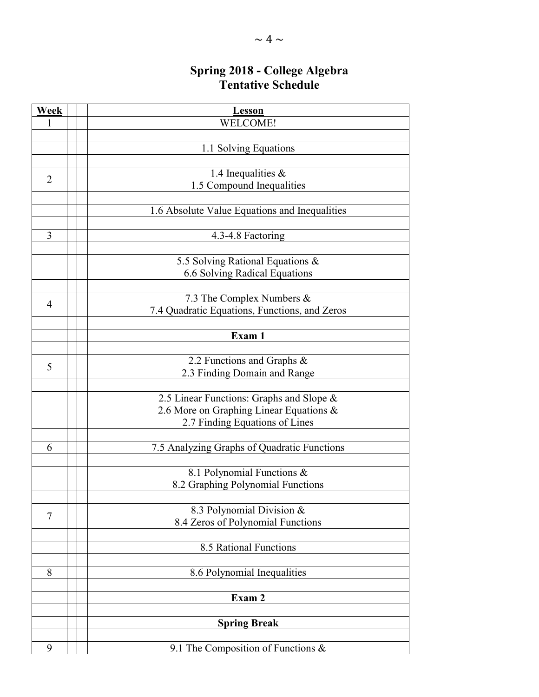# **Spring 2018 - College Algebra Tentative Schedule**

| Week | <b>Lesson</b>                                 |
|------|-----------------------------------------------|
|      | <b>WELCOME!</b>                               |
|      |                                               |
|      | 1.1 Solving Equations                         |
|      |                                               |
| 2    | 1.4 Inequalities $&$                          |
|      | 1.5 Compound Inequalities                     |
|      |                                               |
|      | 1.6 Absolute Value Equations and Inequalities |
|      |                                               |
| 3    | 4.3-4.8 Factoring                             |
|      |                                               |
|      | 5.5 Solving Rational Equations &              |
|      | 6.6 Solving Radical Equations                 |
|      |                                               |
|      | 7.3 The Complex Numbers &                     |
| 4    | 7.4 Quadratic Equations, Functions, and Zeros |
|      |                                               |
|      | Exam 1                                        |
|      |                                               |
| 5    | 2.2 Functions and Graphs &                    |
|      | 2.3 Finding Domain and Range                  |
|      |                                               |
|      | 2.5 Linear Functions: Graphs and Slope &      |
|      | 2.6 More on Graphing Linear Equations &       |
|      | 2.7 Finding Equations of Lines                |
|      |                                               |
| 6    | 7.5 Analyzing Graphs of Quadratic Functions   |
|      |                                               |
|      | 8.1 Polynomial Functions $\&$                 |
|      | 8.2 Graphing Polynomial Functions             |
|      |                                               |
| 7    | 8.3 Polynomial Division &                     |
|      | 8.4 Zeros of Polynomial Functions             |
|      |                                               |
|      | 8.5 Rational Functions                        |
|      |                                               |
| 8    | 8.6 Polynomial Inequalities                   |
|      |                                               |
|      | Exam 2                                        |
|      |                                               |
|      | <b>Spring Break</b>                           |
|      |                                               |
| 9    | 9.1 The Composition of Functions $\&$         |